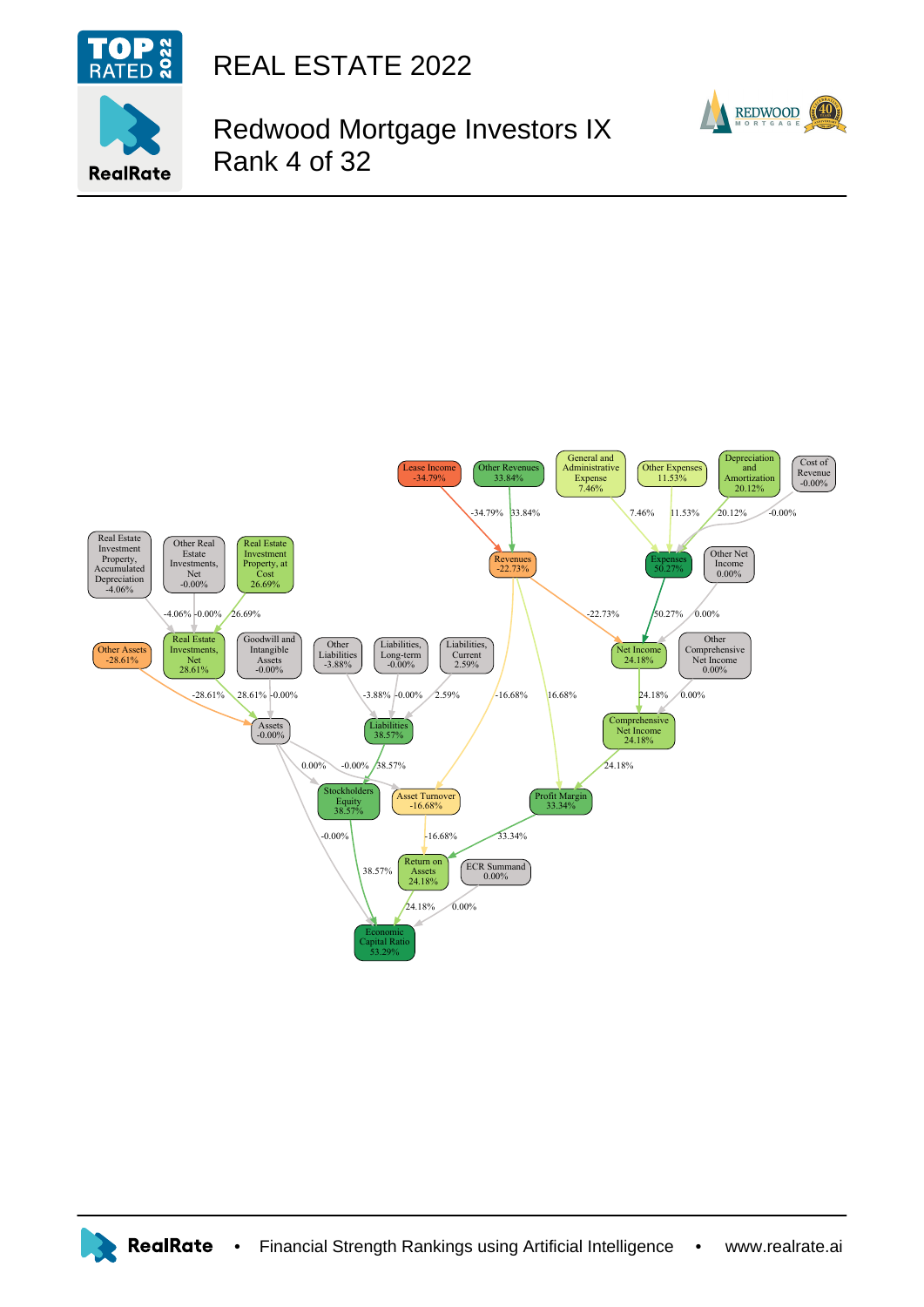

**RealRate** 

REAL ESTATE 2022

## Redwood Mortgage Investors IX Rank 4 of 32